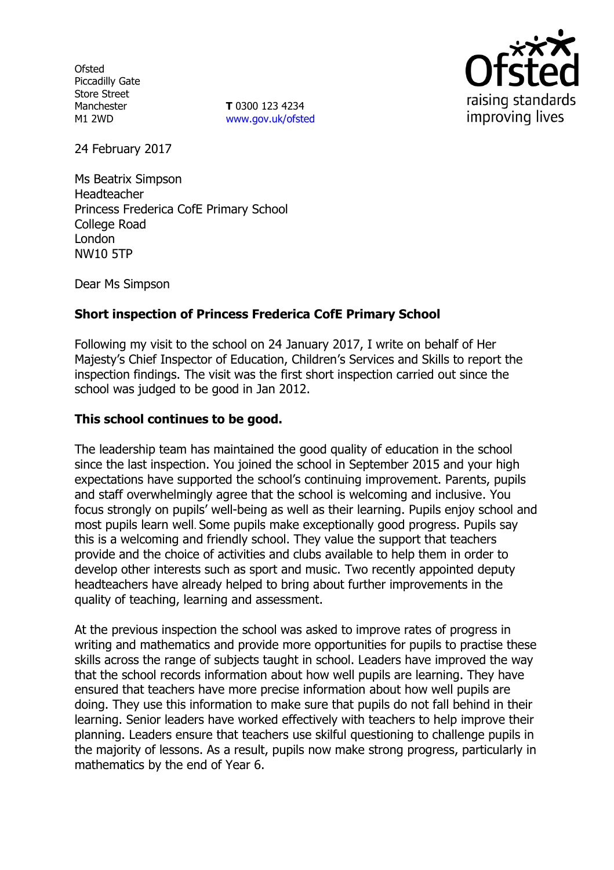**Ofsted** Piccadilly Gate Store Street Manchester M1 2WD

**T** 0300 123 4234 [www.gov.uk/ofsted](http://www.gov.uk/ofsted)



24 February 2017

Ms Beatrix Simpson Headteacher Princess Frederica CofE Primary School College Road London NW10 5TP

Dear Ms Simpson

# **Short inspection of Princess Frederica CofE Primary School**

Following my visit to the school on 24 January 2017, I write on behalf of Her Majesty's Chief Inspector of Education, Children's Services and Skills to report the inspection findings. The visit was the first short inspection carried out since the school was judged to be good in Jan 2012.

# **This school continues to be good.**

The leadership team has maintained the good quality of education in the school since the last inspection. You joined the school in September 2015 and your high expectations have supported the school's continuing improvement. Parents, pupils and staff overwhelmingly agree that the school is welcoming and inclusive. You focus strongly on pupils' well-being as well as their learning. Pupils enjoy school and most pupils learn well. Some pupils make exceptionally good progress. Pupils say this is a welcoming and friendly school. They value the support that teachers provide and the choice of activities and clubs available to help them in order to develop other interests such as sport and music. Two recently appointed deputy headteachers have already helped to bring about further improvements in the quality of teaching, learning and assessment.

At the previous inspection the school was asked to improve rates of progress in writing and mathematics and provide more opportunities for pupils to practise these skills across the range of subjects taught in school. Leaders have improved the way that the school records information about how well pupils are learning. They have ensured that teachers have more precise information about how well pupils are doing. They use this information to make sure that pupils do not fall behind in their learning. Senior leaders have worked effectively with teachers to help improve their planning. Leaders ensure that teachers use skilful questioning to challenge pupils in the majority of lessons. As a result, pupils now make strong progress, particularly in mathematics by the end of Year 6.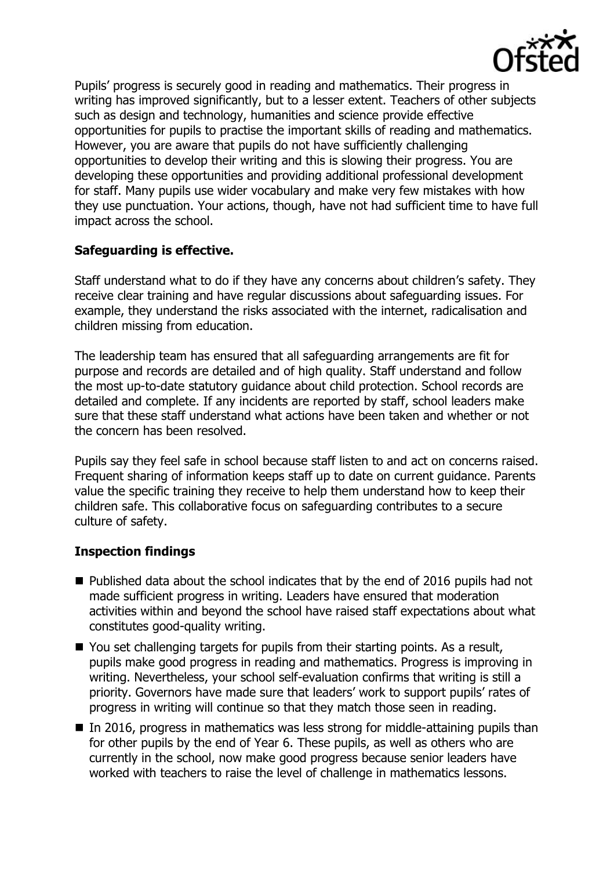

Pupils' progress is securely good in reading and mathematics. Their progress in writing has improved significantly, but to a lesser extent. Teachers of other subjects such as design and technology, humanities and science provide effective opportunities for pupils to practise the important skills of reading and mathematics. However, you are aware that pupils do not have sufficiently challenging opportunities to develop their writing and this is slowing their progress. You are developing these opportunities and providing additional professional development for staff. Many pupils use wider vocabulary and make very few mistakes with how they use punctuation. Your actions, though, have not had sufficient time to have full impact across the school.

## **Safeguarding is effective.**

Staff understand what to do if they have any concerns about children's safety. They receive clear training and have regular discussions about safeguarding issues. For example, they understand the risks associated with the internet, radicalisation and children missing from education.

The leadership team has ensured that all safeguarding arrangements are fit for purpose and records are detailed and of high quality. Staff understand and follow the most up-to-date statutory guidance about child protection. School records are detailed and complete. If any incidents are reported by staff, school leaders make sure that these staff understand what actions have been taken and whether or not the concern has been resolved.

Pupils say they feel safe in school because staff listen to and act on concerns raised. Frequent sharing of information keeps staff up to date on current guidance. Parents value the specific training they receive to help them understand how to keep their children safe. This collaborative focus on safeguarding contributes to a secure culture of safety.

### **Inspection findings**

- Published data about the school indicates that by the end of 2016 pupils had not made sufficient progress in writing. Leaders have ensured that moderation activities within and beyond the school have raised staff expectations about what constitutes good-quality writing.
- You set challenging targets for pupils from their starting points. As a result, pupils make good progress in reading and mathematics. Progress is improving in writing. Nevertheless, your school self-evaluation confirms that writing is still a priority. Governors have made sure that leaders' work to support pupils' rates of progress in writing will continue so that they match those seen in reading.
- $\blacksquare$  In 2016, progress in mathematics was less strong for middle-attaining pupils than for other pupils by the end of Year 6. These pupils, as well as others who are currently in the school, now make good progress because senior leaders have worked with teachers to raise the level of challenge in mathematics lessons.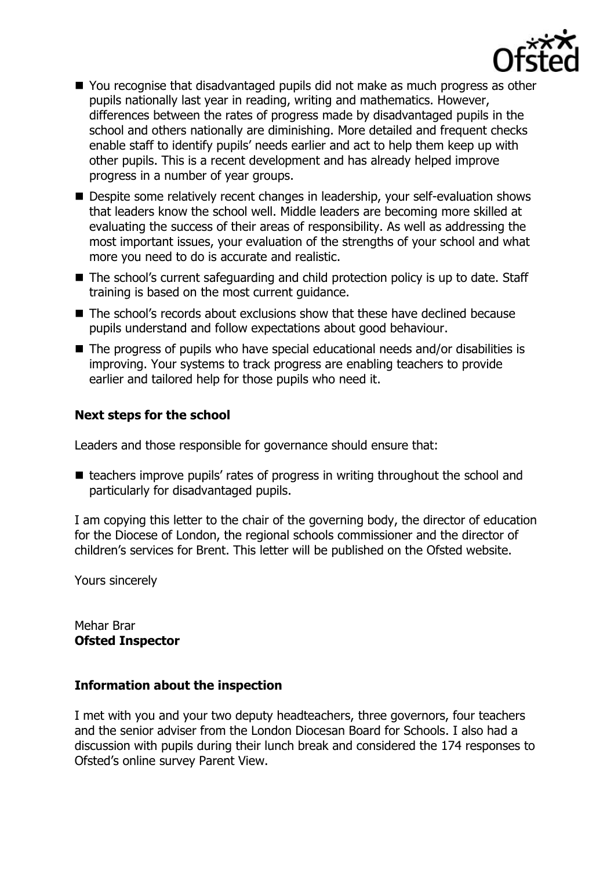

- You recognise that disadvantaged pupils did not make as much progress as other pupils nationally last year in reading, writing and mathematics. However, differences between the rates of progress made by disadvantaged pupils in the school and others nationally are diminishing. More detailed and frequent checks enable staff to identify pupils' needs earlier and act to help them keep up with other pupils. This is a recent development and has already helped improve progress in a number of year groups.
- Despite some relatively recent changes in leadership, your self-evaluation shows that leaders know the school well. Middle leaders are becoming more skilled at evaluating the success of their areas of responsibility. As well as addressing the most important issues, your evaluation of the strengths of your school and what more you need to do is accurate and realistic.
- The school's current safeguarding and child protection policy is up to date. Staff training is based on the most current guidance.
- The school's records about exclusions show that these have declined because pupils understand and follow expectations about good behaviour.
- The progress of pupils who have special educational needs and/or disabilities is improving. Your systems to track progress are enabling teachers to provide earlier and tailored help for those pupils who need it.

## **Next steps for the school**

Leaders and those responsible for governance should ensure that:

■ teachers improve pupils' rates of progress in writing throughout the school and particularly for disadvantaged pupils.

I am copying this letter to the chair of the governing body, the director of education for the Diocese of London, the regional schools commissioner and the director of children's services for Brent. This letter will be published on the Ofsted website.

Yours sincerely

Mehar Brar **Ofsted Inspector**

### **Information about the inspection**

I met with you and your two deputy headteachers, three governors, four teachers and the senior adviser from the London Diocesan Board for Schools. I also had a discussion with pupils during their lunch break and considered the 174 responses to Ofsted's online survey Parent View.